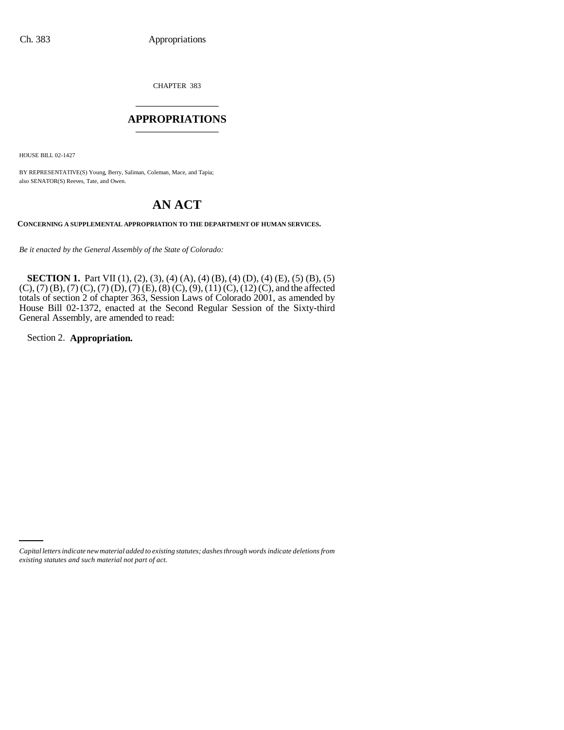CHAPTER 383 \_\_\_\_\_\_\_\_\_\_\_\_\_\_\_

### **APPROPRIATIONS** \_\_\_\_\_\_\_\_\_\_\_\_\_\_\_

HOUSE BILL 02-1427

BY REPRESENTATIVE(S) Young, Berry, Saliman, Coleman, Mace, and Tapia; also SENATOR(S) Reeves, Tate, and Owen.

# **AN ACT**

**CONCERNING A SUPPLEMENTAL APPROPRIATION TO THE DEPARTMENT OF HUMAN SERVICES.**

*Be it enacted by the General Assembly of the State of Colorado:*

**SECTION 1.** Part VII (1), (2), (3), (4) (A), (4) (B), (4) (D), (4) (E), (5) (B), (5)  $(C)$ , (7) (B), (7) (C), (7) (D), (7) (E), (8) (C), (9), (11) (C), (12) (C), and the affected totals of section 2 of chapter 363, Session Laws of Colorado 2001, as amended by House Bill 02-1372, enacted at the Second Regular Session of the Sixty-third General Assembly, are amended to read:

Section 2. **Appropriation.**

*Capital letters indicate new material added to existing statutes; dashes through words indicate deletions from existing statutes and such material not part of act.*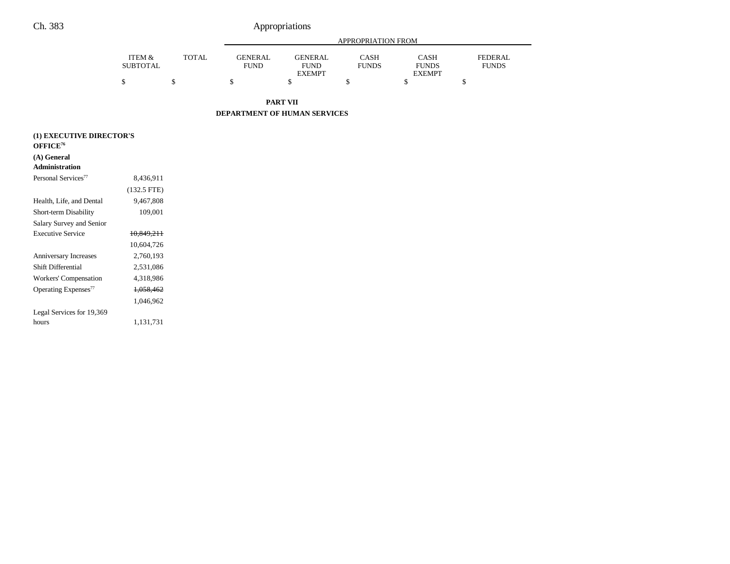|                           |              |                               | APPROPRIATION FROM            |                      |                             |                                |  |  |  |
|---------------------------|--------------|-------------------------------|-------------------------------|----------------------|-----------------------------|--------------------------------|--|--|--|
| ITEM &<br><b>SUBTOTAL</b> | <b>TOTAL</b> | <b>GENERAL</b><br><b>FUND</b> | <b>GENERAL</b><br><b>FUND</b> | CASH<br><b>FUNDS</b> | <b>CASH</b><br><b>FUNDS</b> | <b>FEDERAL</b><br><b>FUNDS</b> |  |  |  |
|                           |              |                               | <b>EXEMPT</b>                 |                      | <b>EXEMPT</b>               |                                |  |  |  |
|                           |              |                               |                               |                      |                             |                                |  |  |  |
|                           |              |                               |                               |                      |                             |                                |  |  |  |

**PART VII**

**DEPARTMENT OF HUMAN SERVICES**

| (1) EXECUTIVE DIRECTOR'S         |               |  |  |  |  |
|----------------------------------|---------------|--|--|--|--|
| OFFICE <sup>76</sup>             |               |  |  |  |  |
| (A) General                      |               |  |  |  |  |
| <b>Administration</b>            |               |  |  |  |  |
| Personal Services <sup>77</sup>  | 8,436,911     |  |  |  |  |
|                                  | $(132.5$ FTE) |  |  |  |  |
| Health, Life, and Dental         | 9,467,808     |  |  |  |  |
| Short-term Disability            | 109,001       |  |  |  |  |
| Salary Survey and Senior         |               |  |  |  |  |
| <b>Executive Service</b>         | 10,849,211    |  |  |  |  |
|                                  | 10,604,726    |  |  |  |  |
| <b>Anniversary Increases</b>     | 2,760,193     |  |  |  |  |
| Shift Differential               | 2,531,086     |  |  |  |  |
| Workers' Compensation            | 4,318,986     |  |  |  |  |
| Operating Expenses <sup>77</sup> | 1,058,462     |  |  |  |  |
|                                  | 1,046,962     |  |  |  |  |
| Legal Services for 19,369        |               |  |  |  |  |
| hours                            | 1,131,731     |  |  |  |  |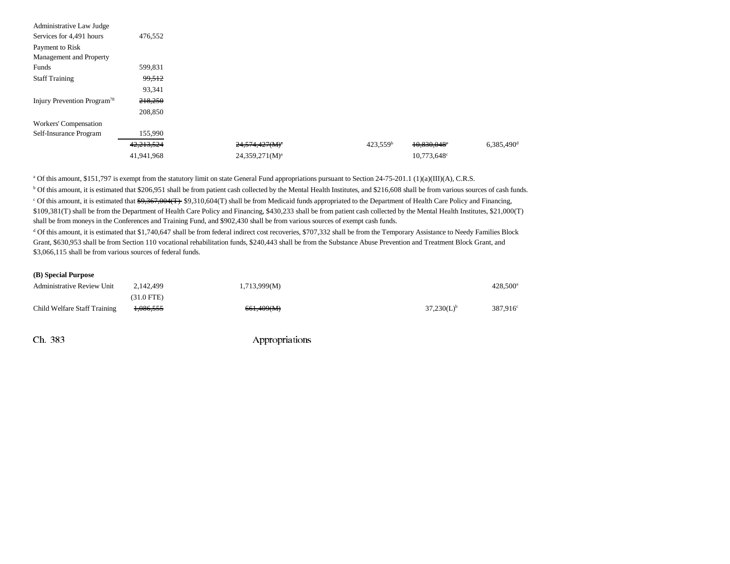| Administrative Law Judge                |            |                     |  |                      |                         |                          |
|-----------------------------------------|------------|---------------------|--|----------------------|-------------------------|--------------------------|
| Services for 4,491 hours                | 476,552    |                     |  |                      |                         |                          |
| Payment to Risk                         |            |                     |  |                      |                         |                          |
| Management and Property                 |            |                     |  |                      |                         |                          |
| Funds                                   | 599,831    |                     |  |                      |                         |                          |
| <b>Staff Training</b>                   | 99,512     |                     |  |                      |                         |                          |
|                                         | 93,341     |                     |  |                      |                         |                          |
| Injury Prevention Program <sup>78</sup> | 218,250    |                     |  |                      |                         |                          |
|                                         | 208,850    |                     |  |                      |                         |                          |
| Workers' Compensation                   |            |                     |  |                      |                         |                          |
| Self-Insurance Program                  | 155,990    |                     |  |                      |                         |                          |
|                                         | 42,213,524 | $24,574,427(M)^{n}$ |  | 423.559 <sup>b</sup> | 10,830,048°             | $6,385,490$ <sup>d</sup> |
|                                         | 41,941,968 | $24,359,271(M)^a$   |  |                      | 10,773,648 <sup>c</sup> |                          |

a Of this amount, \$151,797 is exempt from the statutory limit on state General Fund appropriations pursuant to Section 24-75-201.1 (1)(a)(III)(A), C.R.S.

<sup>b</sup> Of this amount, it is estimated that \$206,951 shall be from patient cash collected by the Mental Health Institutes, and \$216,608 shall be from various sources of cash funds.

 $c$  Of this amount, it is estimated that  $\frac{69,367,004(T)}{9,310,604(T)}$  shall be from Medicaid funds appropriated to the Department of Health Care Policy and Financing, \$109,381(T) shall be from the Department of Health Care Policy and Financing, \$430,233 shall be from patient cash collected by the Mental Health Institutes, \$21,000(T) shall be from moneys in the Conferences and Training Fund, and \$902,430 shall be from various sources of exempt cash funds.

<sup>d</sup> Of this amount, it is estimated that \$1,740,647 shall be from federal indirect cost recoveries, \$707,332 shall be from the Temporary Assistance to Needy Families Block Grant, \$630,953 shall be from Section 110 vocational rehabilitation funds, \$240,443 shall be from the Substance Abuse Prevention and Treatment Block Grant, and \$3,066,115 shall be from various sources of federal funds.

#### **(B) Special Purpose**

| <b>Administrative Review Unit</b> | 2.142.499            | 1,713,999(M) |                 | $428.500^a$          |
|-----------------------------------|----------------------|--------------|-----------------|----------------------|
|                                   | (31.0 FTE)           |              |                 |                      |
| Child Welfare Staff Training      | <del>1,086,555</del> | 661,409(M)   | $37,230(L)^{b}$ | 387.916 <sup>c</sup> |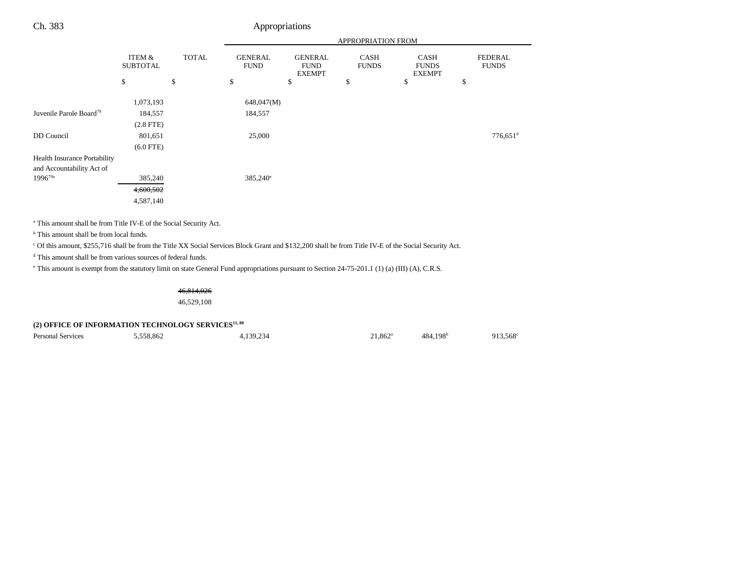|                                     |                           |              |                               |                                                | <b>APPROPRIATION FROM</b>   |                                              |                                |
|-------------------------------------|---------------------------|--------------|-------------------------------|------------------------------------------------|-----------------------------|----------------------------------------------|--------------------------------|
|                                     | ITEM &<br><b>SUBTOTAL</b> | <b>TOTAL</b> | <b>GENERAL</b><br><b>FUND</b> | <b>GENERAL</b><br><b>FUND</b><br><b>EXEMPT</b> | <b>CASH</b><br><b>FUNDS</b> | <b>CASH</b><br><b>FUNDS</b><br><b>EXEMPT</b> | <b>FEDERAL</b><br><b>FUNDS</b> |
|                                     | \$                        | \$           | \$                            | \$                                             | \$                          | \$                                           | \$                             |
|                                     | 1,073,193                 |              | 648,047(M)                    |                                                |                             |                                              |                                |
| Juvenile Parole Board <sup>79</sup> | 184,557                   |              | 184,557                       |                                                |                             |                                              |                                |
|                                     | $(2.8$ FTE $)$            |              |                               |                                                |                             |                                              |                                |
| DD Council                          | 801,651                   |              | 25,000                        |                                                |                             |                                              | $776,651$ <sup>d</sup>         |
|                                     | $(6.0$ FTE)               |              |                               |                                                |                             |                                              |                                |
| <b>Health Insurance Portability</b> |                           |              |                               |                                                |                             |                                              |                                |
| and Accountability Act of           |                           |              |                               |                                                |                             |                                              |                                |
| $1996^{79a}$                        | 385,240                   |              | $385,240^{\circ}$             |                                                |                             |                                              |                                |
|                                     | 4,600,502                 |              |                               |                                                |                             |                                              |                                |
|                                     | 4,587,140                 |              |                               |                                                |                             |                                              |                                |
|                                     |                           |              |                               |                                                |                             |                                              |                                |

a This amount shall be from Title IV-E of the Social Security Act.

<sup>b</sup> This amount shall be from local funds.

c Of this amount, \$255,716 shall be from the Title XX Social Services Block Grant and \$132,200 shall be from Title IV-E of the Social Security Act.

d This amount shall be from various sources of federal funds.

e This amount is exempt from the statutory limit on state General Fund appropriations pursuant to Section 24-75-201.1 (1) (a) (III) (A), C.R.S.

46,814,026

46,529,108

### (2) OFFICE OF INFORMATION TECHNOLOGY SERVICES<sup>11, 80</sup>

Personal Services 6,558,862 4,139,234 21,862<sup>a</sup> 484,198<sup>b</sup> 913,568<sup>c</sup>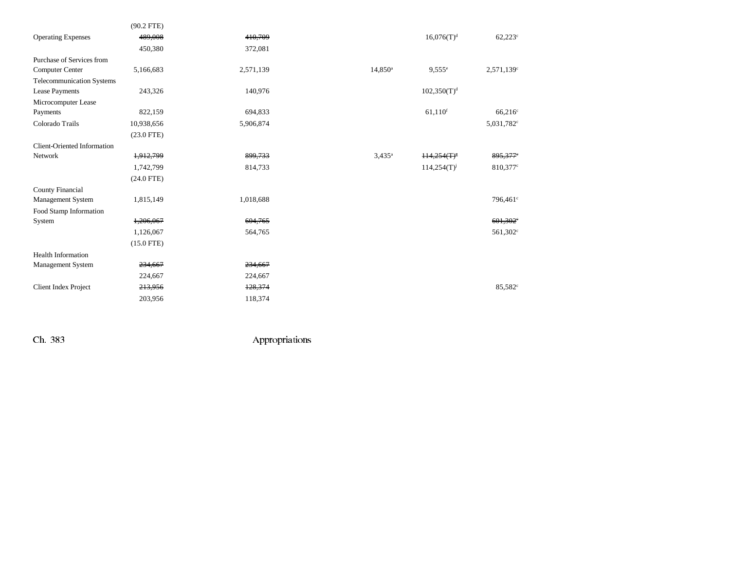|                                    | $(90.2$ FTE) |           |                  |                           |                        |
|------------------------------------|--------------|-----------|------------------|---------------------------|------------------------|
| <b>Operating Expenses</b>          | 489,008      | 410.709   |                  | $16,076(T)^{d}$           | $62,223^{\circ}$       |
|                                    | 450,380      | 372,081   |                  |                           |                        |
| Purchase of Services from          |              |           |                  |                           |                        |
| <b>Computer Center</b>             | 5,166,683    | 2,571,139 | $14,850^{\circ}$ | $9.555^{\circ}$           | 2,571,139c             |
| Telecommunication Systems          |              |           |                  |                           |                        |
| Lease Payments                     | 243,326      | 140,976   |                  | $102,350(T)^{d}$          |                        |
| Microcomputer Lease                |              |           |                  |                           |                        |
| Payments                           | 822,159      | 694,833   |                  | $61,110$ <sup>f</sup>     | $66,216^c$             |
| Colorado Trails                    | 10,938,656   | 5,906,874 |                  |                           | 5,031,782 <sup>c</sup> |
|                                    | $(23.0$ FTE) |           |                  |                           |                        |
| <b>Client-Oriented Information</b> |              |           |                  |                           |                        |
| Network                            | 1,912,799    | 899,733   | $3,435^{\rm a}$  | $H4,254(T)^8$             | 895,377°               |
|                                    | 1,742,799    | 814,733   |                  | $114,254(T)$ <sup>j</sup> | 810,377 <sup>c</sup>   |
|                                    | $(24.0$ FTE) |           |                  |                           |                        |
| <b>County Financial</b>            |              |           |                  |                           |                        |
| Management System                  | 1,815,149    | 1,018,688 |                  |                           | 796,461 <sup>c</sup>   |
| Food Stamp Information             |              |           |                  |                           |                        |
| System                             | 1,206,067    | 604,765   |                  |                           | $601,302$ <sup>*</sup> |
|                                    | 1,126,067    | 564,765   |                  |                           | 561,302 <sup>c</sup>   |
|                                    | $(15.0$ FTE) |           |                  |                           |                        |
| <b>Health Information</b>          |              |           |                  |                           |                        |
| <b>Management System</b>           | 234,667      | 234,667   |                  |                           |                        |
|                                    | 224,667      | 224,667   |                  |                           |                        |
| <b>Client Index Project</b>        | 213,956      | 128,374   |                  |                           | 85,582 <sup>c</sup>    |
|                                    | 203,956      | 118,374   |                  |                           |                        |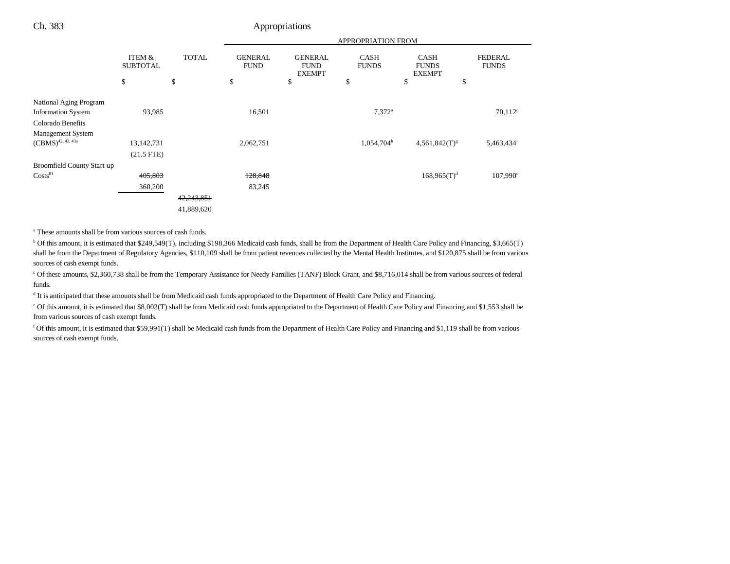|                                   |                           |              |                               |                                                | <b>APPROPRIATION FROM</b>   |                                              |                                |
|-----------------------------------|---------------------------|--------------|-------------------------------|------------------------------------------------|-----------------------------|----------------------------------------------|--------------------------------|
|                                   | ITEM &<br><b>SUBTOTAL</b> | <b>TOTAL</b> | <b>GENERAL</b><br><b>FUND</b> | <b>GENERAL</b><br><b>FUND</b><br><b>EXEMPT</b> | <b>CASH</b><br><b>FUNDS</b> | <b>CASH</b><br><b>FUNDS</b><br><b>EXEMPT</b> | <b>FEDERAL</b><br><b>FUNDS</b> |
|                                   | \$                        | \$           | \$                            | \$                                             | \$                          | \$<br>\$                                     |                                |
| National Aging Program            |                           |              |                               |                                                |                             |                                              |                                |
| <b>Information System</b>         | 93,985                    |              | 16,501                        |                                                | $7.372$ <sup>a</sup>        |                                              | $70,112^c$                     |
| Colorado Benefits                 |                           |              |                               |                                                |                             |                                              |                                |
| Management System                 |                           |              |                               |                                                |                             |                                              |                                |
| $(CBMS)^{42, 43, 43a}$            | 13, 142, 731              |              | 2,062,751                     |                                                | $1,054,704^h$               | $4,561,842(T)^{g}$                           | 5,463,434                      |
|                                   | $(21.5$ FTE)              |              |                               |                                                |                             |                                              |                                |
| <b>Broomfield County Start-up</b> |                           |              |                               |                                                |                             |                                              |                                |
| $\text{Costs}^{81}$               | 405,803                   |              | 128,848                       |                                                |                             | $168,965(T)^{d}$                             | $107,990^{\circ}$              |
|                                   | 360,200                   |              | 83,245                        |                                                |                             |                                              |                                |
|                                   |                           | 42,243,851   |                               |                                                |                             |                                              |                                |
|                                   |                           | 41,889,620   |                               |                                                |                             |                                              |                                |

a These amounts shall be from various sources of cash funds.

<sup>b</sup> Of this amount, it is estimated that \$249,549(T), including \$198,366 Medicaid cash funds, shall be from the Department of Health Care Policy and Financing, \$3,665(T) shall be from the Department of Regulatory Agencies, \$110,109 shall be from patient revenues collected by the Mental Health Institutes, and \$120,875 shall be from various sources of cash exempt funds.

c Of these amounts, \$2,360,738 shall be from the Temporary Assistance for Needy Families (TANF) Block Grant, and \$8,716,014 shall be from various sources of federal funds.

d It is anticipated that these amounts shall be from Medicaid cash funds appropriated to the Department of Health Care Policy and Financing.

e Of this amount, it is estimated that \$8,002(T) shall be from Medicaid cash funds appropriated to the Department of Health Care Policy and Financing and \$1,553 shall be from various sources of cash exempt funds.

f Of this amount, it is estimated that \$59,991(T) shall be Medicaid cash funds from the Department of Health Care Policy and Financing and \$1,119 shall be from various sources of cash exempt funds.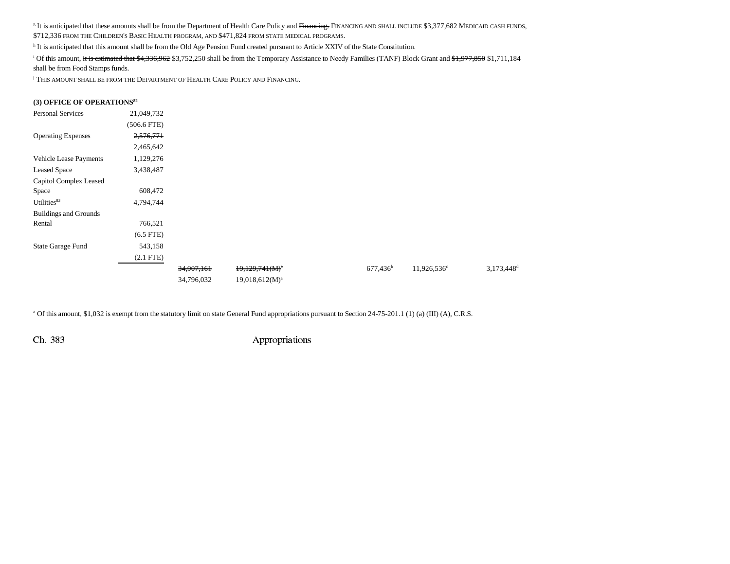<sup>g</sup> It is anticipated that these amounts shall be from the Department of Health Care Policy and <del>Financing.</del> FINANCING AND SHALL INCLUDE \$3,377,682 MEDICAID CASH FUNDS, \$712,336 FROM THE CHILDREN'S BASIC HEALTH PROGRAM, AND \$471,824 FROM STATE MEDICAL PROGRAMS.

h It is anticipated that this amount shall be from the Old Age Pension Fund created pursuant to Article XXIV of the State Constitution.

<sup>i</sup> Of this amount, it is estimated that \$4,336,962 \$3,752,250 shall be from the Temporary Assistance to Needy Families (TANF) Block Grant and \$1,977,850 \$1,711,184

shall be from Food Stamps funds.

<sup>j</sup> This amount shall be from the Department of Health Care Policy and Financing.

#### **(3) OFFICE OF OPERATIONS82**

| <b>Personal Services</b>     | 21,049,732    |            |                     |                   |                      |                        |
|------------------------------|---------------|------------|---------------------|-------------------|----------------------|------------------------|
|                              | $(506.6$ FTE) |            |                     |                   |                      |                        |
| <b>Operating Expenses</b>    | 2,576,771     |            |                     |                   |                      |                        |
|                              | 2,465,642     |            |                     |                   |                      |                        |
| Vehicle Lease Payments       | 1,129,276     |            |                     |                   |                      |                        |
| <b>Leased Space</b>          | 3,438,487     |            |                     |                   |                      |                        |
| Capitol Complex Leased       |               |            |                     |                   |                      |                        |
| Space                        | 608,472       |            |                     |                   |                      |                        |
| Utilities <sup>83</sup>      | 4,794,744     |            |                     |                   |                      |                        |
| <b>Buildings and Grounds</b> |               |            |                     |                   |                      |                        |
| Rental                       | 766,521       |            |                     |                   |                      |                        |
|                              | $(6.5$ FTE)   |            |                     |                   |                      |                        |
| State Garage Fund            | 543,158       |            |                     |                   |                      |                        |
|                              | $(2.1$ FTE)   |            |                     |                   |                      |                        |
|                              |               | 34,907,161 | $19,129,741(M)^{a}$ | $677,436^{\rm b}$ | $11,926,536^{\circ}$ | 3,173,448 <sup>d</sup> |
|                              |               | 34,796,032 | $19,018,612(M)^a$   |                   |                      |                        |

a Of this amount, \$1,032 is exempt from the statutory limit on state General Fund appropriations pursuant to Section 24-75-201.1 (1) (a) (III) (A), C.R.S.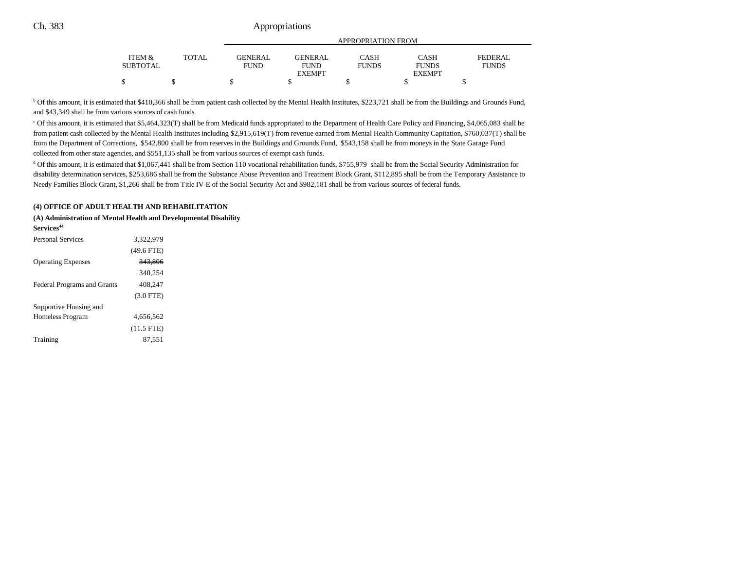|                 |       |                | APPROPRIATION FROM |              |              |              |  |  |
|-----------------|-------|----------------|--------------------|--------------|--------------|--------------|--|--|
| ITEM &          | TOTAL | <b>GENERAL</b> | <b>GENERAL</b>     | CASH         | CASH         | FEDERAL      |  |  |
| <b>SUBTOTAL</b> |       | <b>FUND</b>    | <b>FUND</b>        | <b>FUNDS</b> | <b>FUNDS</b> | <b>FUNDS</b> |  |  |
|                 |       |                | <b>EXEMPT</b>      |              | EXEMPT       |              |  |  |
|                 |       |                |                    |              |              |              |  |  |

<sup>b</sup> Of this amount, it is estimated that \$410,366 shall be from patient cash collected by the Mental Health Institutes, \$223,721 shall be from the Buildings and Grounds Fund, and \$43,349 shall be from various sources of cash funds.

c Of this amount, it is estimated that \$5,464,323(T) shall be from Medicaid funds appropriated to the Department of Health Care Policy and Financing, \$4,065,083 shall be from patient cash collected by the Mental Health Institutes including \$2,915,619(T) from revenue earned from Mental Health Community Capitation, \$760,037(T) shall be from the Department of Corrections, \$542,800 shall be from reserves in the Buildings and Grounds Fund, \$543,158 shall be from moneys in the State Garage Fund collected from other state agencies, and \$551,135 shall be from various sources of exempt cash funds.

<sup>d</sup> Of this amount, it is estimated that \$1,067,441 shall be from Section 110 vocational rehabilitation funds, \$755,979 shall be from the Social Security Administration for disability determination services, \$253,686 shall be from the Substance Abuse Prevention and Treatment Block Grant, \$112,895 shall be from the Temporary Assistance to Needy Families Block Grant, \$1,266 shall be from Title IV-E of the Social Security Act and \$982,181 shall be from various sources of federal funds.

#### **(4) OFFICE OF ADULT HEALTH AND REHABILITATION**

**(A) Administration of Mental Health and Developmental Disability Services<sup>44</sup>** Personal Services 3,322,979

|                                    | $(49.6$ FTE) |
|------------------------------------|--------------|
| <b>Operating Expenses</b>          | 343,806      |
|                                    | 340,254      |
| <b>Federal Programs and Grants</b> | 408.247      |
|                                    | $(3.0$ FTE)  |
| Supportive Housing and             |              |
| Homeless Program                   | 4,656,562    |
|                                    | $(11.5$ FTE) |
| Training                           | 87.551       |
|                                    |              |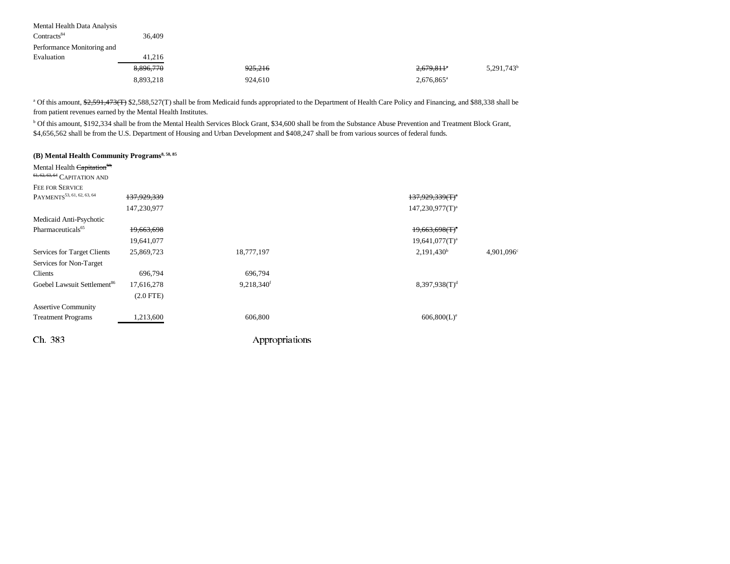| Mental Health Data Analysis |           |         |                                                    |
|-----------------------------|-----------|---------|----------------------------------------------------|
| Contracts <sup>84</sup>     | 36.409    |         |                                                    |
| Performance Monitoring and  |           |         |                                                    |
| Evaluation                  | 41,216    |         |                                                    |
|                             | 8,896,770 | 925,216 | 5,291,743 <sup>b</sup><br>$2,679,811$ <sup>a</sup> |
|                             | 8,893,218 | 924.610 | 2,676,865 <sup>a</sup>                             |

<sup>a</sup> Of this amount, \$2,591,473(T) \$2,588,527(T) shall be from Medicaid funds appropriated to the Department of Health Care Policy and Financing, and \$88,338 shall be from patient revenues earned by the Mental Health Institutes.

b Of this amount, \$192,334 shall be from the Mental Health Services Block Grant, \$34,600 shall be from the Substance Abuse Prevention and Treatment Block Grant, \$4,656,562 shall be from the U.S. Department of Housing and Urban Development and \$408,247 shall be from various sources of federal funds.

| (B) Mental Health Community Programs <sup>8, 58, 85</sup> |                        |                |                           |           |
|-----------------------------------------------------------|------------------------|----------------|---------------------------|-----------|
| Mental Health Capitation <sup>53,</sup>                   |                        |                |                           |           |
| 61, 62, 63, 64 CAPITATION AND                             |                        |                |                           |           |
| <b>FEE FOR SERVICE</b>                                    |                        |                |                           |           |
| PAYMENTS <sup>53, 61, 62, 63, 64</sup>                    | <del>137,929,339</del> |                | $137,929,339(f)^4$        |           |
|                                                           | 147,230,977            |                | $147,230,977(T)^a$        |           |
| Medicaid Anti-Psychotic                                   |                        |                |                           |           |
| Pharmaceuticals <sup>65</sup>                             | 19,663,698             |                | $19,663,698(f)^4$         |           |
|                                                           | 19,641,077             |                | $19,641,077(T)^a$         |           |
| Services for Target Clients                               | 25,869,723             | 18,777,197     | 2,191,430 <sup>b</sup>    | 4,901,096 |
| Services for Non-Target                                   |                        |                |                           |           |
| Clients                                                   | 696,794                | 696,794        |                           |           |
| Goebel Lawsuit Settlement <sup>86</sup>                   | 17,616,278             | 9,218,340f     | 8,397,938(T) <sup>d</sup> |           |
|                                                           | $(2.0$ FTE $)$         |                |                           |           |
| <b>Assertive Community</b>                                |                        |                |                           |           |
| <b>Treatment Programs</b>                                 | 1,213,600              | 606,800        | $606,800(L)^e$            |           |
| Ch. 383                                                   |                        | Appropriations |                           |           |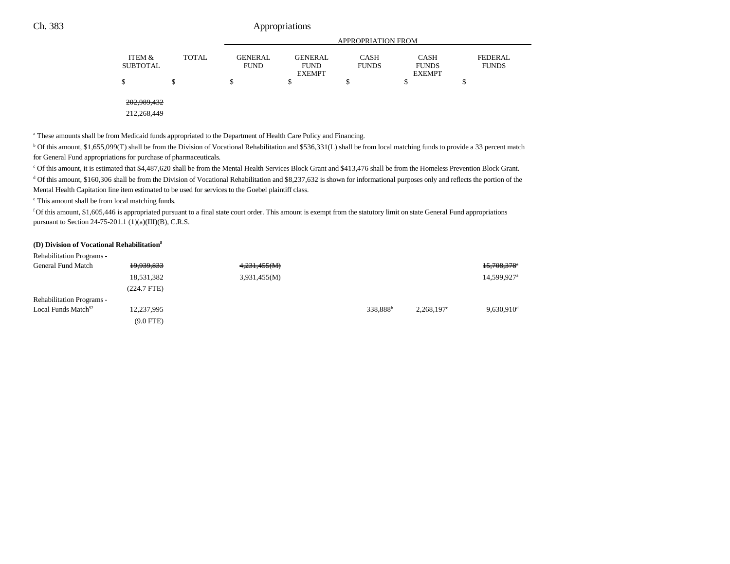|          |       | APPROPRIATION FROM |                              |              |                               |                |  |
|----------|-------|--------------------|------------------------------|--------------|-------------------------------|----------------|--|
| ITEM &   | TOTAL | <b>GENERAL</b>     | <b>GENERAL</b>               | CASH         | <b>CASH</b>                   | <b>FEDERAL</b> |  |
| SUBTOTAL |       | <b>FUND</b>        | <b>FUND</b><br><b>EXEMPT</b> | <b>FUNDS</b> | <b>FUNDS</b><br><b>EXEMPT</b> | <b>FUNDS</b>   |  |
| Φ        |       |                    |                              |              |                               |                |  |

202,989,432

212,268,449

<sup>a</sup> These amounts shall be from Medicaid funds appropriated to the Department of Health Care Policy and Financing.

b Of this amount, \$1,655,099(T) shall be from the Division of Vocational Rehabilitation and \$536,331(L) shall be from local matching funds to provide a 33 percent match for General Fund appropriations for purchase of pharmaceuticals.

c Of this amount, it is estimated that \$4,487,620 shall be from the Mental Health Services Block Grant and \$413,476 shall be from the Homeless Prevention Block Grant.

<sup>d</sup> Of this amount, \$160,306 shall be from the Division of Vocational Rehabilitation and \$8,237,632 is shown for informational purposes only and reflects the portion of the Mental Health Capitation line item estimated to be used for services to the Goebel plaintiff class.

e This amount shall be from local matching funds.

f Of this amount, \$1,605,446 is appropriated pursuant to a final state court order. This amount is exempt from the statutory limit on state General Fund appropriations pursuant to Section 24-75-201.1 (1)(a)(III)(B), C.R.S.

#### **(D) Division of Vocational Rehabilitation8**

| <b>Rehabilitation Programs -</b> |               |              |                      |                     |                          |
|----------------------------------|---------------|--------------|----------------------|---------------------|--------------------------|
| General Fund Match               | 19,939,833    | 4,231,455(M) |                      |                     | 15,708,378 <sup>*</sup>  |
|                                  | 18,531,382    | 3,931,455(M) |                      |                     | 14,599,927 <sup>a</sup>  |
|                                  | $(224.7$ FTE) |              |                      |                     |                          |
| <b>Rehabilitation Programs -</b> |               |              |                      |                     |                          |
| Local Funds Match <sup>92</sup>  | 12,237,995    |              | 338,888 <sup>b</sup> | $2,268,197^{\circ}$ | $9,630,910$ <sup>d</sup> |
|                                  | $(9.0$ FTE)   |              |                      |                     |                          |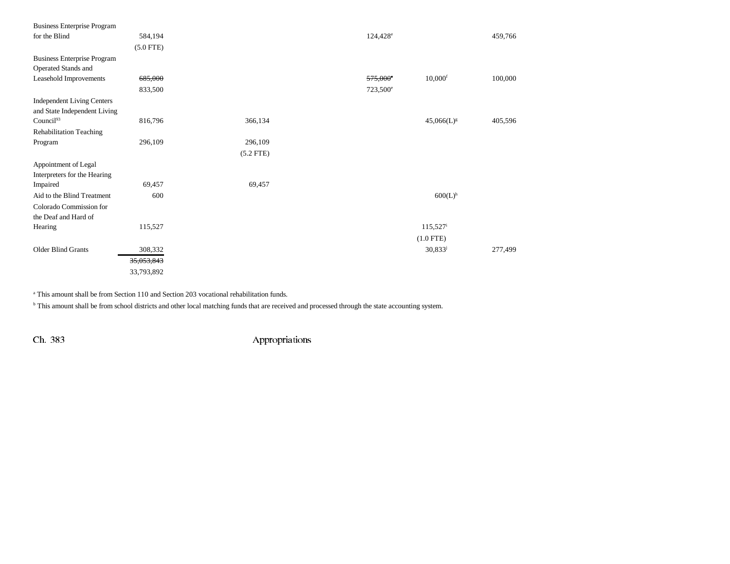| <b>Business Enterprise Program</b> |             |             |                      |                       |         |
|------------------------------------|-------------|-------------|----------------------|-----------------------|---------|
| for the Blind                      | 584,194     |             | $124,428^{\circ}$    |                       | 459,766 |
|                                    | $(5.0$ FTE) |             |                      |                       |         |
| <b>Business Enterprise Program</b> |             |             |                      |                       |         |
| Operated Stands and                |             |             |                      |                       |         |
| Leasehold Improvements             | 685,000     |             | 575,000°             | $10,000$ <sup>f</sup> | 100,000 |
|                                    | 833,500     |             | 723,500 <sup>e</sup> |                       |         |
| <b>Independent Living Centers</b>  |             |             |                      |                       |         |
| and State Independent Living       |             |             |                      |                       |         |
| Council <sup>93</sup>              | 816,796     | 366,134     |                      | $45,066(L)^{g}$       | 405,596 |
| <b>Rehabilitation Teaching</b>     |             |             |                      |                       |         |
| Program                            | 296,109     | 296,109     |                      |                       |         |
|                                    |             | $(5.2$ FTE) |                      |                       |         |
| Appointment of Legal               |             |             |                      |                       |         |
| Interpreters for the Hearing       |             |             |                      |                       |         |
| Impaired                           | 69,457      | 69,457      |                      |                       |         |
| Aid to the Blind Treatment         | 600         |             |                      | $600(L)$ <sup>h</sup> |         |
| Colorado Commission for            |             |             |                      |                       |         |
| the Deaf and Hard of               |             |             |                      |                       |         |
| Hearing                            | 115,527     |             |                      | $115,527^{\rm i}$     |         |
|                                    |             |             |                      | $(1.0$ FTE)           |         |
| <b>Older Blind Grants</b>          | 308,332     |             |                      | $30,833^{j}$          | 277,499 |
|                                    | 35,053,843  |             |                      |                       |         |
|                                    | 33,793,892  |             |                      |                       |         |

a This amount shall be from Section 110 and Section 203 vocational rehabilitation funds.

<sup>b</sup> This amount shall be from school districts and other local matching funds that are received and processed through the state accounting system.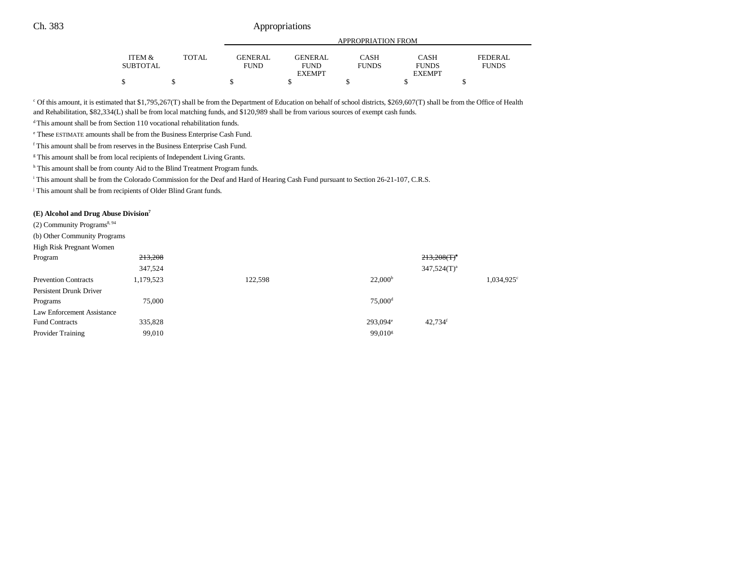|                   |              |                | APPROPRIATION FROM |              |               |              |  |  |
|-------------------|--------------|----------------|--------------------|--------------|---------------|--------------|--|--|
| <b>ITEM &amp;</b> | <b>TOTAL</b> | <b>GENERAL</b> | <b>GENERAL</b>     | CASH         | <b>CASH</b>   | FEDERAL      |  |  |
| <b>SUBTOTAL</b>   |              | <b>FUND</b>    | <b>FUND</b>        | <b>FUNDS</b> | <b>FUNDS</b>  | <b>FUNDS</b> |  |  |
|                   |              |                | <b>EXEMPT</b>      |              | <b>EXEMPT</b> |              |  |  |
| Φ                 |              |                |                    |              |               |              |  |  |

c Of this amount, it is estimated that \$1,795,267(T) shall be from the Department of Education on behalf of school districts, \$269,607(T) shall be from the Office of Health and Rehabilitation, \$82,334(L) shall be from local matching funds, and \$120,989 shall be from various sources of exempt cash funds.

<sup>d</sup> This amount shall be from Section 110 vocational rehabilitation funds.

e These ESTIMATE amounts shall be from the Business Enterprise Cash Fund.

f This amount shall be from reserves in the Business Enterprise Cash Fund.

<sup>g</sup> This amount shall be from local recipients of Independent Living Grants.

h This amount shall be from county Aid to the Blind Treatment Program funds.

i This amount shall be from the Colorado Commission for the Deaf and Hard of Hearing Cash Fund pursuant to Section 26-21-107, C.R.S.

<sup>j</sup> This amount shall be from recipients of Older Blind Grant funds.

#### **(E) Alcohol and Drug Abuse Division7**

(2) Community Programs<sup>8, 94</sup>

|  |  |  | (b) Other Community Programs |  |
|--|--|--|------------------------------|--|
|--|--|--|------------------------------|--|

| $\frac{1}{2}$ . The stationary state of $\frac{1}{2}$ is a state of $\frac{1}{2}$ . The state of $\frac{1}{2}$ |           |         |                        |                       |                          |
|----------------------------------------------------------------------------------------------------------------|-----------|---------|------------------------|-----------------------|--------------------------|
| High Risk Pregnant Women                                                                                       |           |         |                        |                       |                          |
| Program                                                                                                        | 213,208   |         |                        | $213,208(T)^4$        |                          |
|                                                                                                                | 347,524   |         |                        | $347,524(T)^a$        |                          |
| <b>Prevention Contracts</b>                                                                                    | 1,179,523 | 122,598 | 22,000 <sup>b</sup>    |                       | $1,034,925$ <sup>c</sup> |
| Persistent Drunk Driver                                                                                        |           |         |                        |                       |                          |
| Programs                                                                                                       | 75,000    |         | $75,000$ <sup>d</sup>  |                       |                          |
| Law Enforcement Assistance                                                                                     |           |         |                        |                       |                          |
| <b>Fund Contracts</b>                                                                                          | 335,828   |         | $293.094$ <sup>e</sup> | $42.734$ <sup>f</sup> |                          |
| <b>Provider Training</b>                                                                                       | 99,010    |         | 99.010 <sup>g</sup>    |                       |                          |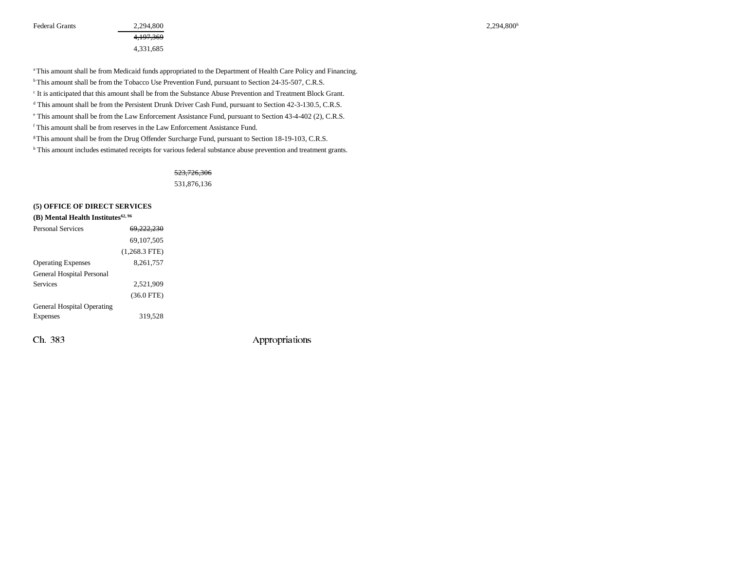Federal Grants  $2,294,800$   $2,294,800$ 

4,197,369 4,331,685

a This amount shall be from Medicaid funds appropriated to the Department of Health Care Policy and Financing. <sup>b</sup> This amount shall be from the Tobacco Use Prevention Fund, pursuant to Section 24-35-507, C.R.S. c It is anticipated that this amount shall be from the Substance Abuse Prevention and Treatment Block Grant. d This amount shall be from the Persistent Drunk Driver Cash Fund, pursuant to Section 42-3-130.5, C.R.S. e This amount shall be from the Law Enforcement Assistance Fund, pursuant to Section 43-4-402 (2), C.R.S. f This amount shall be from reserves in the Law Enforcement Assistance Fund.

<sup>g</sup> This amount shall be from the Drug Offender Surcharge Fund, pursuant to Section 18-19-103, C.R.S.

h This amount includes estimated receipts for various federal substance abuse prevention and treatment grants.

#### 523,726,306

531,876,136

#### **(5) OFFICE OF DIRECT SERVICES**

| (B) Mental Health Institutes $62,96$ |                 |
|--------------------------------------|-----------------|
| <b>Personal Services</b>             | 69.222.230      |
|                                      | 69,107,505      |
|                                      | $(1,268.3$ FTE) |
| <b>Operating Expenses</b>            | 8,261,757       |
| General Hospital Personal            |                 |
| <b>Services</b>                      | 2,521,909       |
|                                      | $(36.0$ FTE)    |
| <b>General Hospital Operating</b>    |                 |
| <b>Expenses</b>                      | 319,528         |
|                                      |                 |
| Ch. 383                              |                 |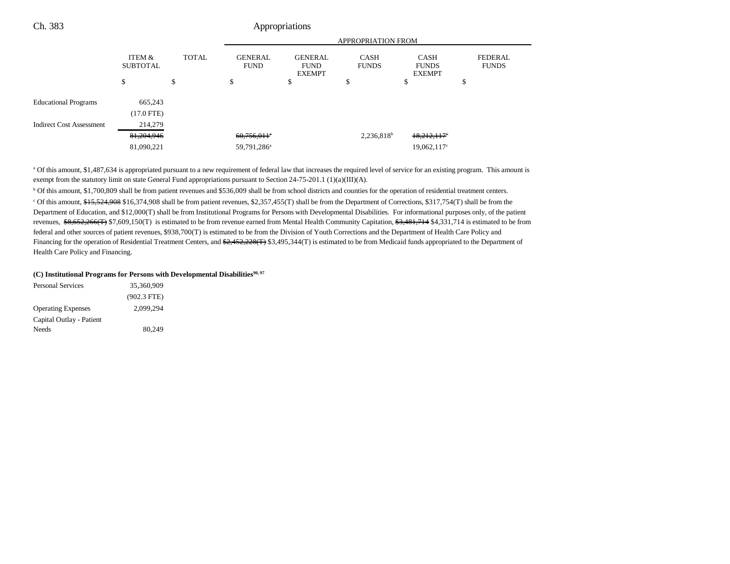| Ch. 383                         |                           |              |                               | Appropriations                                 |                             |                                              |                                |
|---------------------------------|---------------------------|--------------|-------------------------------|------------------------------------------------|-----------------------------|----------------------------------------------|--------------------------------|
|                                 |                           |              |                               |                                                | APPROPRIATION FROM          |                                              |                                |
|                                 | ITEM &<br><b>SUBTOTAL</b> | <b>TOTAL</b> | <b>GENERAL</b><br><b>FUND</b> | <b>GENERAL</b><br><b>FUND</b><br><b>EXEMPT</b> | <b>CASH</b><br><b>FUNDS</b> | <b>CASH</b><br><b>FUNDS</b><br><b>EXEMPT</b> | <b>FEDERAL</b><br><b>FUNDS</b> |
|                                 | \$                        | \$           | \$                            | ъ                                              | ъ                           | Φ                                            | ٠D                             |
| <b>Educational Programs</b>     | 665,243                   |              |                               |                                                |                             |                                              |                                |
|                                 | $(17.0$ FTE)              |              |                               |                                                |                             |                                              |                                |
| <b>Indirect Cost Assessment</b> | 214,279                   |              |                               |                                                |                             |                                              |                                |
|                                 | 81,204,946                |              | $60,756,011$ <sup>a</sup>     |                                                | $2,236,818^b$               | $18,212,117$ <sup>c</sup>                    |                                |
|                                 | 81,090,221                |              | 59,791,286 <sup>a</sup>       |                                                |                             | $19,062,117$ <sup>c</sup>                    |                                |

<sup>a</sup> Of this amount, \$1,487,634 is appropriated pursuant to a new requirement of federal law that increases the required level of service for an existing program. This amount is exempt from the statutory limit on state General Fund appropriations pursuant to Section 24-75-201.1 (1)(a)(III)(A).

b Of this amount, \$1,700,809 shall be from patient revenues and \$536,009 shall be from school districts and counties for the operation of residential treatment centers. <sup>c</sup> Of this amount, \$15,524,908 \$16,374,908 shall be from patient revenues, \$2,357,455(T) shall be from the Department of Corrections, \$317,754(T) shall be from the Department of Education, and \$12,000(T) shall be from Institutional Programs for Persons with Developmental Disabilities. For informational purposes only, of the patient revenues,  $$8,652,266(T)$  \$7,609,150(T) is estimated to be from revenue earned from Mental Health Community Capitation, \$3,481,714 \$4,331,714 is estimated to be from federal and other sources of patient revenues, \$938,700(T) is estimated to be from the Division of Youth Corrections and the Department of Health Care Policy and Financing for the operation of Residential Treatment Centers, and \$2,452,228(T) \$3,495,344(T) is estimated to be from Medicaid funds appropriated to the Department of Health Care Policy and Financing.

#### (C) Institutional Programs for Persons with Developmental Disabilities<sup>90, 97</sup>

| <b>Personal Services</b>  | 35,360,909    |  |
|---------------------------|---------------|--|
|                           | $(902.3$ FTE) |  |
| <b>Operating Expenses</b> | 2.099.294     |  |
| Capital Outlay - Patient  |               |  |
| Needs                     | 80.249        |  |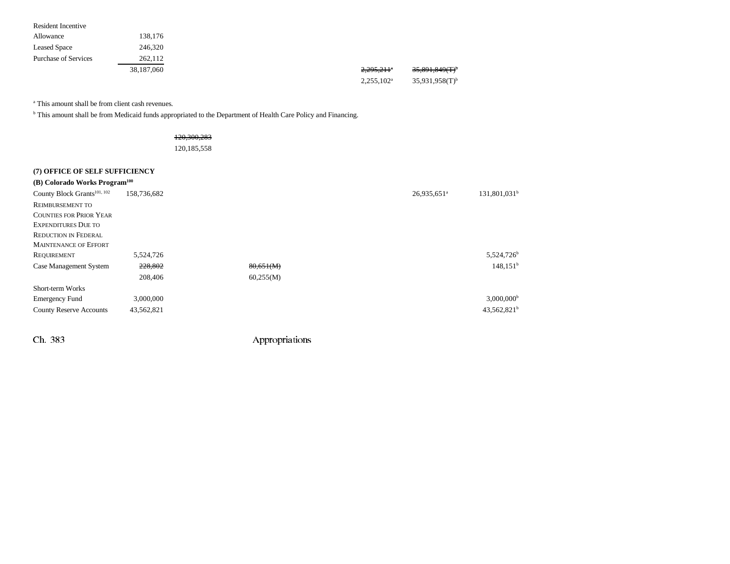|                           | 38,187,060 | 2,295,211 <sup>°</sup> | $35,891,849(T)^t$ |
|---------------------------|------------|------------------------|-------------------|
| Purchase of Services      | 262,112    |                        |                   |
| <b>Leased Space</b>       | 246,320    |                        |                   |
| Allowance                 | 138,176    |                        |                   |
| <b>Resident Incentive</b> |            |                        |                   |

 $2,255,102^a$   $35,931,958(T)^b$ 

a This amount shall be from client cash revenues.

b This amount shall be from Medicaid funds appropriated to the Department of Health Care Policy and Financing.

120,300,283

120,185,558

| (7) OFFICE OF SELF SUFFICIENCY            |             |           |                         |                          |
|-------------------------------------------|-------------|-----------|-------------------------|--------------------------|
| (B) Colorado Works Program <sup>100</sup> |             |           |                         |                          |
| County Block Grants <sup>101, 102</sup>   | 158,736,682 |           | 26,935,651 <sup>a</sup> | 131,801,031 <sup>b</sup> |
| <b>REIMBURSEMENT TO</b>                   |             |           |                         |                          |
| <b>COUNTIES FOR PRIOR YEAR</b>            |             |           |                         |                          |
| <b>EXPENDITURES DUE TO</b>                |             |           |                         |                          |
| <b>REDUCTION IN FEDERAL</b>               |             |           |                         |                          |
| <b>MAINTENANCE OF EFFORT</b>              |             |           |                         |                          |
| REQUIREMENT                               | 5,524,726   |           |                         | 5,524,726 <sup>b</sup>   |
| Case Management System                    | 228,802     | 80,651(M) |                         | $148,151^b$              |
|                                           | 208,406     | 60,255(M) |                         |                          |
| Short-term Works                          |             |           |                         |                          |
| <b>Emergency Fund</b>                     | 3,000,000   |           |                         | $3,000,000$ <sup>b</sup> |
| <b>County Reserve Accounts</b>            | 43,562,821  |           |                         | $43,562,821^b$           |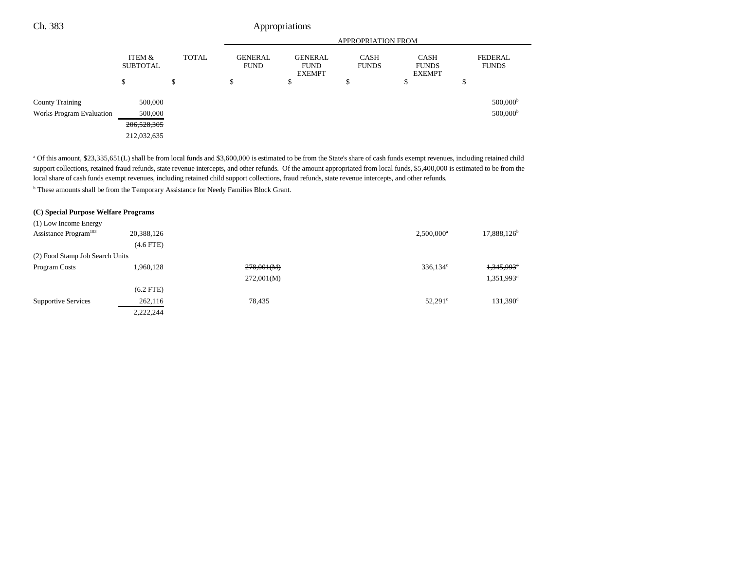|                          |                           |              | <b>APPROPRIATION FROM</b>     |                                                |                             |                                              |                                |
|--------------------------|---------------------------|--------------|-------------------------------|------------------------------------------------|-----------------------------|----------------------------------------------|--------------------------------|
|                          | ITEM &<br><b>SUBTOTAL</b> | <b>TOTAL</b> | <b>GENERAL</b><br><b>FUND</b> | <b>GENERAL</b><br><b>FUND</b><br><b>EXEMPT</b> | <b>CASH</b><br><b>FUNDS</b> | <b>CASH</b><br><b>FUNDS</b><br><b>EXEMPT</b> | <b>FEDERAL</b><br><b>FUNDS</b> |
|                          | \$                        | \$           | \$                            | Φ                                              | ¢<br>Ф                      | \$                                           | \$                             |
| <b>County Training</b>   | 500,000                   |              |                               |                                                |                             |                                              | $500,000$ <sup>b</sup>         |
| Works Program Evaluation | 500,000                   |              |                               |                                                |                             |                                              | 500,000 <sup>b</sup>           |
|                          | 206,528,305               |              |                               |                                                |                             |                                              |                                |
|                          | 212,032,635               |              |                               |                                                |                             |                                              |                                |

a Of this amount, \$23,335,651(L) shall be from local funds and \$3,600,000 is estimated to be from the State's share of cash funds exempt revenues, including retained child support collections, retained fraud refunds, state revenue intercepts, and other refunds. Of the amount appropriated from local funds, \$5,400,000 is estimated to be from the local share of cash funds exempt revenues, including retained child support collections, fraud refunds, state revenue intercepts, and other refunds.

b These amounts shall be from the Temporary Assistance for Needy Families Block Grant.

### **(C) Special Purpose Welfare Programs** (1) Low Income Energy Assistance Program<sup>103</sup> 20,388,126 2,500,000<sup>a</sup> 17,888,126<sup>b</sup> (4.6 FTE) (2) Food Stamp Job Search Units Program Costs 1,960,128 <del>278,001(M)</del> 336,134<sup>c</sup> <del>1,345,993<sup>d</sup></del> 272,001(M) 1,351,993<sup>d</sup> (6.2 FTE) Supportive Services 262,116 78,435 52,291<sup>c</sup> 131,390<sup>d</sup> 131,390<sup>d</sup> 2,222,244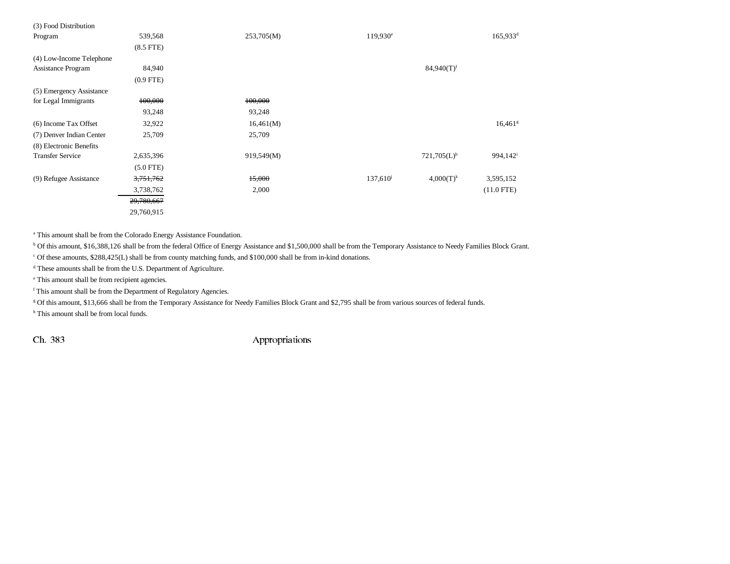| (3) Food Distribution    |                |            |                      |                           |                       |
|--------------------------|----------------|------------|----------------------|---------------------------|-----------------------|
| Program                  | 539,568        | 253,705(M) | $119,930^{\circ}$    |                           | 165,933 <sup>d</sup>  |
|                          | $(8.5$ FTE $)$ |            |                      |                           |                       |
| (4) Low-Income Telephone |                |            |                      |                           |                       |
| Assistance Program       | 84,940         |            |                      | $84,940(T)$ <sup>f</sup>  |                       |
|                          | $(0.9$ FTE)    |            |                      |                           |                       |
| (5) Emergency Assistance |                |            |                      |                           |                       |
| for Legal Immigrants     | 100,000        | 100,000    |                      |                           |                       |
|                          | 93,248         | 93,248     |                      |                           |                       |
| (6) Income Tax Offset    | 32,922         | 16,461(M)  |                      |                           | $16,461$ <sup>g</sup> |
| (7) Denver Indian Center | 25,709         | 25,709     |                      |                           |                       |
| (8) Electronic Benefits  |                |            |                      |                           |                       |
| <b>Transfer Service</b>  | 2,635,396      | 919,549(M) |                      | $721,705(L)$ <sup>h</sup> | 994,142 <sup>i</sup>  |
|                          | $(5.0$ FTE)    |            |                      |                           |                       |
| (9) Refugee Assistance   | 3,751,762      | 15,000     | 137,610 <sup>j</sup> | $4,000(T)^k$              | 3,595,152             |
|                          | 3,738,762      | 2,000      |                      |                           | $(11.0$ FTE)          |
|                          | 29,780,667     |            |                      |                           |                       |
|                          | 29,760,915     |            |                      |                           |                       |

a This amount shall be from the Colorado Energy Assistance Foundation.

<sup>b</sup> Of this amount, \$16,388,126 shall be from the federal Office of Energy Assistance and \$1,500,000 shall be from the Temporary Assistance to Needy Families Block Grant.

c Of these amounts, \$288,425(L) shall be from county matching funds, and \$100,000 shall be from in-kind donations.

d These amounts shall be from the U.S. Department of Agriculture.

e This amount shall be from recipient agencies.

f This amount shall be from the Department of Regulatory Agencies.

g Of this amount, \$13,666 shall be from the Temporary Assistance for Needy Families Block Grant and \$2,795 shall be from various sources of federal funds.

h This amount shall be from local funds.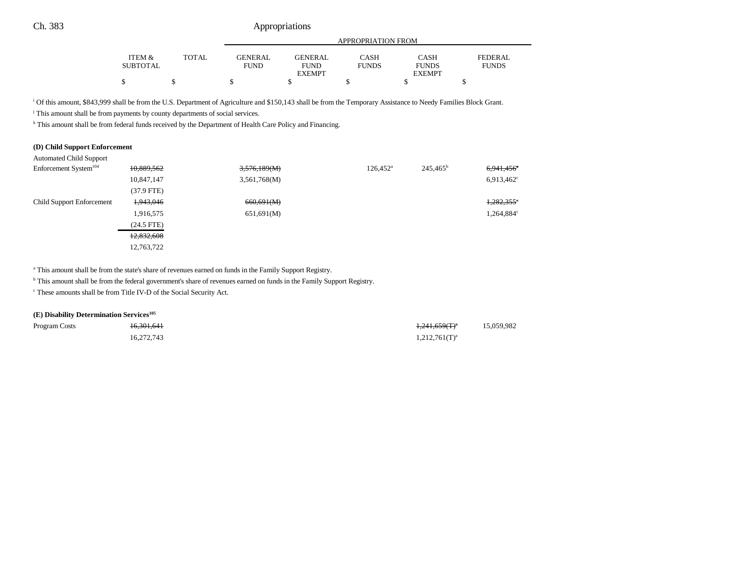|                 |       |             | APPROPRIATION FROM |              |               |              |  |
|-----------------|-------|-------------|--------------------|--------------|---------------|--------------|--|
|                 |       |             |                    |              |               |              |  |
| ITEM &          | TOTAL | GENERAL     | GENERAL            | CASH         | <b>CASH</b>   | FEDERAL      |  |
| <b>SUBTOTAL</b> |       | <b>FUND</b> | <b>FUND</b>        | <b>FUNDS</b> | <b>FUNDS</b>  | <b>FUNDS</b> |  |
|                 |       |             | <b>EXEMPT</b>      |              | <b>EXEMPT</b> |              |  |
|                 |       |             |                    |              |               |              |  |

i Of this amount, \$843,999 shall be from the U.S. Department of Agriculture and \$150,143 shall be from the Temporary Assistance to Needy Families Block Grant.

<sup>j</sup> This amount shall be from payments by county departments of social services.

k This amount shall be from federal funds received by the Department of Health Care Policy and Financing.

#### **(D) Child Support Enforcement**

| Enforcement System <sup>104</sup> | 10,889,562   | 3,576,189(M) | $126,452^{\circ}$ | $245,465^{\rm b}$ | $6,941,456$ <sup>e</sup> |
|-----------------------------------|--------------|--------------|-------------------|-------------------|--------------------------|
|                                   | 10,847,147   | 3,561,768(M) |                   |                   | $6,913,462$ <sup>c</sup> |
|                                   | $(37.9$ FTE) |              |                   |                   |                          |
| Child Support Enforcement         | 1,943,046    | 660,691(M)   |                   |                   | $1,282,355$ <sup>e</sup> |
|                                   | 1,916,575    | 651,691(M)   |                   |                   | 1,264,884°               |
|                                   | $(24.5$ FTE) |              |                   |                   |                          |
|                                   | 12,832,608   |              |                   |                   |                          |
|                                   | 12,763,722   |              |                   |                   |                          |

<sup>a</sup> This amount shall be from the state's share of revenues earned on funds in the Family Support Registry.

b This amount shall be from the federal government's share of revenues earned on funds in the Family Support Registry.

c These amounts shall be from Title IV-D of the Social Security Act.

#### **(E) Disability Determination Services105**

| Program Costs | 16.301.641 | <del>1,241,659(T)</del> <sup>a</sup> | 15,059,982 |
|---------------|------------|--------------------------------------|------------|
|               | 16,272,743 | $1,212,761(T)^a$                     |            |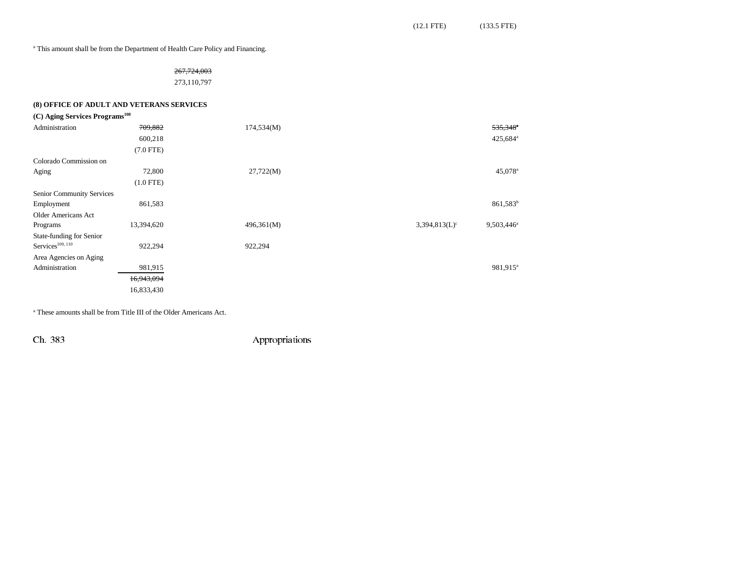(12.1 FTE) (133.5 FTE)

<sup>a</sup> This amount shall be from the Department of Health Care Policy and Financing.

### 267,724,003

273,110,797

#### **(8) OFFICE OF ADULT AND VETERANS SERVICES**

| (C) Aging Services Programs <sup>108</sup> |             |            |                                                       |
|--------------------------------------------|-------------|------------|-------------------------------------------------------|
| Administration                             | 709,882     | 174,534(M) | 535,348 <sup>e</sup>                                  |
|                                            | 600,218     |            | 425,684 <sup>a</sup>                                  |
|                                            | $(7.0$ FTE) |            |                                                       |
| Colorado Commission on                     |             |            |                                                       |
| Aging                                      | 72,800      | 27,722(M)  | 45,078 <sup>a</sup>                                   |
|                                            | $(1.0$ FTE) |            |                                                       |
| Senior Community Services                  |             |            |                                                       |
| Employment                                 | 861,583     |            | 861,583 <sup>b</sup>                                  |
| Older Americans Act                        |             |            |                                                       |
| Programs                                   | 13,394,620  | 496,361(M) | $3,394,813(L)$ <sup>c</sup><br>9,503,446 <sup>a</sup> |
| State-funding for Senior                   |             |            |                                                       |
| $S$ ervices <sup>109, 110</sup>            | 922,294     | 922,294    |                                                       |
| Area Agencies on Aging                     |             |            |                                                       |
| Administration                             | 981,915     |            | 981,915 <sup>a</sup>                                  |
|                                            | 16,943,094  |            |                                                       |
|                                            | 16,833,430  |            |                                                       |

a These amounts shall be from Title III of the Older Americans Act.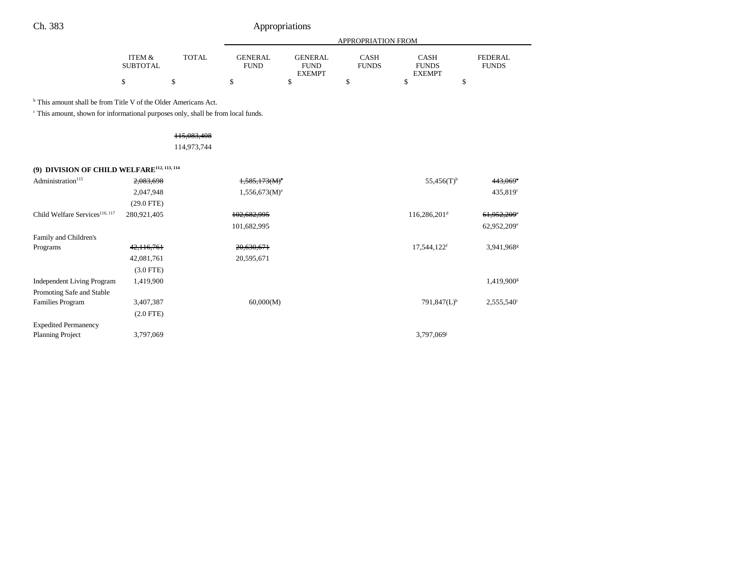|                           |              | APPROPRIATION FROM |                |                      |                      |                                |
|---------------------------|--------------|--------------------|----------------|----------------------|----------------------|--------------------------------|
|                           |              | <b>GENERAL</b>     | <b>GENERAL</b> |                      |                      |                                |
| ITEM &<br><b>SUBTOTAL</b> | <b>TOTAL</b> | FUND               | <b>FUND</b>    | CASH<br><b>FUNDS</b> | CASH<br><b>FUNDS</b> | <b>FEDERAL</b><br><b>FUNDS</b> |
|                           |              |                    | <b>EXEMPT</b>  |                      | <b>EXEMPT</b>        |                                |
|                           |              |                    |                |                      |                      |                                |

<sup>b</sup> This amount shall be from Title V of the Older Americans Act.

 $\,^{\mathrm{c}}$  This amount, shown for informational purposes only, shall be from local funds.

# 115,083,408

114,973,744

# **(9) DIVISION OF CHILD WELFARE112, 113, 114**

| Administration <sup>115</sup>              | 2,083,698    | $1,585,173(M)^{a}$ | $55,456(T)$ <sup>b</sup>   | 443,069°                 |
|--------------------------------------------|--------------|--------------------|----------------------------|--------------------------|
|                                            | 2,047,948    | $1,556,673(M)^{a}$ |                            | 435,819°                 |
|                                            | $(29.0$ FTE) |                    |                            |                          |
| Child Welfare Services <sup>116, 117</sup> | 280,921,405  | 102,682,995        | $116,286,201$ <sup>d</sup> | 61,952,209 <sup>e</sup>  |
|                                            |              | 101,682,995        |                            | 62,952,209 <sup>e</sup>  |
| Family and Children's                      |              |                    |                            |                          |
| Programs                                   | 42,116,761   | 20,630,671         | 17,544,122f                | 3,941,968 <sup>g</sup>   |
|                                            | 42,081,761   | 20,595,671         |                            |                          |
|                                            | $(3.0$ FTE)  |                    |                            |                          |
| <b>Independent Living Program</b>          | 1,419,900    |                    |                            | 1,419,900 <sup>g</sup>   |
| Promoting Safe and Stable                  |              |                    |                            |                          |
| <b>Families Program</b>                    | 3,407,387    | 60,000(M)          | $791,847(L)$ <sup>h</sup>  | $2,555,540$ <sup>i</sup> |
|                                            | $(2.0$ FTE)  |                    |                            |                          |
| <b>Expedited Permanency</b>                |              |                    |                            |                          |
| <b>Planning Project</b>                    | 3,797,069    |                    | 3,797,069 <sup>j</sup>     |                          |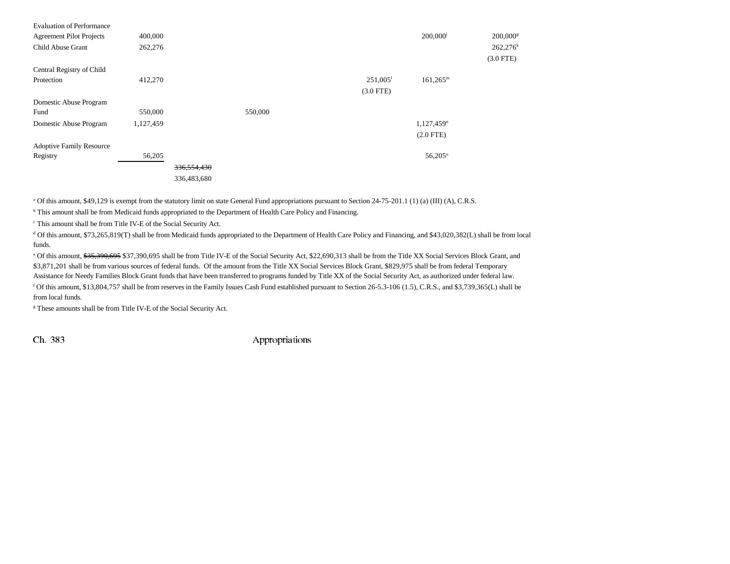| <b>Evaluation of Performance</b><br><b>Agreement Pilot Projects</b><br>Child Abuse Grant | 400,000<br>262,276 |               |         |                        | 200,000 <sup>j</sup>     | 200,000<br>$262,276$ <sup>k</sup><br>$(3.0$ FTE) |
|------------------------------------------------------------------------------------------|--------------------|---------------|---------|------------------------|--------------------------|--------------------------------------------------|
| Central Registry of Child                                                                |                    |               |         |                        |                          |                                                  |
| Protection                                                                               | 412,270            |               |         | $251,005$ <sup>1</sup> | $161,265^m$              |                                                  |
|                                                                                          |                    |               |         | $(3.0$ FTE)            |                          |                                                  |
| Domestic Abuse Program                                                                   |                    |               |         |                        |                          |                                                  |
| Fund                                                                                     | 550,000            |               | 550,000 |                        |                          |                                                  |
| Domestic Abuse Program                                                                   | 1,127,459          |               |         |                        | $1,127,459$ <sup>n</sup> |                                                  |
|                                                                                          |                    |               |         |                        | $(2.0$ FTE $)$           |                                                  |
| <b>Adoptive Family Resource</b>                                                          |                    |               |         |                        |                          |                                                  |
| Registry                                                                                 | 56,205             |               |         |                        | $56,205^{\circ}$         |                                                  |
|                                                                                          |                    | 336, 554, 430 |         |                        |                          |                                                  |
|                                                                                          |                    | 336,483,680   |         |                        |                          |                                                  |

a Of this amount, \$49,129 is exempt from the statutory limit on state General Fund appropriations pursuant to Section 24-75-201.1 (1) (a) (III) (A), C.R.S.

<sup>b</sup> This amount shall be from Medicaid funds appropriated to the Department of Health Care Policy and Financing.

c This amount shall be from Title IV-E of the Social Security Act.

d Of this amount, \$73,265,819(T) shall be from Medicaid funds appropriated to the Department of Health Care Policy and Financing, and \$43,020,382(L) shall be from local funds.

<sup>e</sup> Of this amount, \$35,390,695 \$37,390,695 shall be from Title IV-E of the Social Security Act, \$22,690,313 shall be from the Title XX Social Services Block Grant, and \$3,871,201 shall be from various sources of federal funds. Of the amount from the Title XX Social Services Block Grant, \$829,975 shall be from federal Temporary Assistance for Needy Families Block Grant funds that have been transferred to programs funded by Title XX of the Social Security Act, as authorized under federal law.

f Of this amount, \$13,804,757 shall be from reserves in the Family Issues Cash Fund established pursuant to Section 26-5.3-106 (1.5), C.R.S., and \$3,739,365(L) shall be from local funds.

<sup>g</sup> These amounts shall be from Title IV-E of the Social Security Act.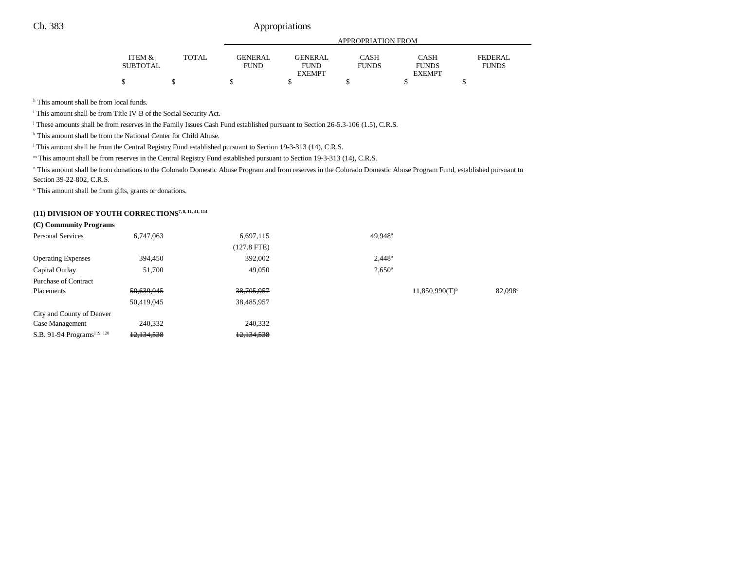|                 |              |                | APPROPRIATION FROM |              |               |                |  |
|-----------------|--------------|----------------|--------------------|--------------|---------------|----------------|--|
| ITEM &          | <b>TOTAL</b> | <b>GENERAL</b> | GENERAL            | CASH         | <b>CASH</b>   | <b>FEDERAL</b> |  |
| <b>SUBTOTAL</b> |              | <b>FUND</b>    | <b>FUND</b>        | <b>FUNDS</b> | <b>FUNDS</b>  | <b>FUNDS</b>   |  |
|                 |              |                | <b>EXEMPT</b>      |              | <b>EXEMPT</b> |                |  |
| ሖ<br>Φ          |              |                |                    |              |               |                |  |

<sup>h</sup> This amount shall be from local funds.

i This amount shall be from Title IV-B of the Social Security Act.

j These amounts shall be from reserves in the Family Issues Cash Fund established pursuant to Section 26-5.3-106 (1.5), C.R.S.

k This amount shall be from the National Center for Child Abuse.

<sup>1</sup> This amount shall be from the Central Registry Fund established pursuant to Section 19-3-313 (14), C.R.S.

m This amount shall be from reserves in the Central Registry Fund established pursuant to Section 19-3-313 (14), C.R.S.

<sup>n</sup> This amount shall be from donations to the Colorado Domestic Abuse Program and from reserves in the Colorado Domestic Abuse Program Fund, established pursuant to Section 39-22-802, C.R.S.

<sup>o</sup> This amount shall be from gifts, grants or donations.

# **(11) DIVISION OF YOUTH CORRECTIONS7, 8, 11, 41, 114**

#### **(C) Community Programs**

| <b>Personal Services</b>                | 6,747,063  | 6,697,115     | 49,948 <sup>a</sup> |                              |        |
|-----------------------------------------|------------|---------------|---------------------|------------------------------|--------|
|                                         |            | $(127.8$ FTE) |                     |                              |        |
| <b>Operating Expenses</b>               | 394,450    | 392,002       | $2.448^a$           |                              |        |
| Capital Outlay                          | 51,700     | 49,050        | $2,650^{\circ}$     |                              |        |
| <b>Purchase of Contract</b>             |            |               |                     |                              |        |
| Placements                              | 50,639,045 | 38,705,957    |                     | $11,850,990(T)$ <sup>b</sup> | 82,098 |
|                                         | 50,419,045 | 38,485,957    |                     |                              |        |
| City and County of Denver               |            |               |                     |                              |        |
| Case Management                         | 240,332    | 240,332       |                     |                              |        |
| S.B. 91-94 Programs <sup>119, 120</sup> | 12,134,538 | 12,134,538    |                     |                              |        |
|                                         |            |               |                     |                              |        |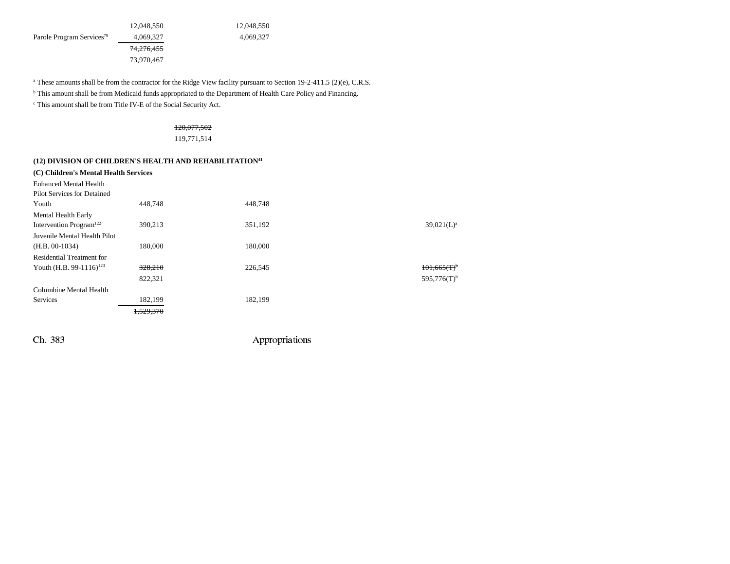12,048,550 12,048,550 Parole Program Services<sup>79</sup> 4,069,327 4,069,327 74,276,455

73,970,467

<sup>a</sup> These amounts shall be from the contractor for the Ridge View facility pursuant to Section 19-2-411.5 (2)(e), C.R.S.

b This amount shall be from Medicaid funds appropriated to the Department of Health Care Policy and Financing.

c This amount shall be from Title IV-E of the Social Security Act.

### 120,077,502

119,771,514

### **(12) DIVISION OF CHILDREN'S HEALTH AND REHABILITATION41**

| (C) Children's Mental Health Services |           |         |                           |
|---------------------------------------|-----------|---------|---------------------------|
| <b>Enhanced Mental Health</b>         |           |         |                           |
| Pilot Services for Detained           |           |         |                           |
| Youth                                 | 448,748   | 448.748 |                           |
| Mental Health Early                   |           |         |                           |
| Intervention Program <sup>122</sup>   | 390.213   | 351,192 | $39,021(L)^a$             |
| Juvenile Mental Health Pilot          |           |         |                           |
| $(H.B. 00-1034)$                      | 180,000   | 180,000 |                           |
| Residential Treatment for             |           |         |                           |
| Youth (H.B. 99-1116) <sup>123</sup>   | 328,210   | 226,545 | $101.665(T)^{6}$          |
|                                       | 822,321   |         | $595,776(T)$ <sup>b</sup> |
| Columbine Mental Health               |           |         |                           |
| <b>Services</b>                       | 182,199   | 182,199 |                           |
|                                       | 1,529,370 |         |                           |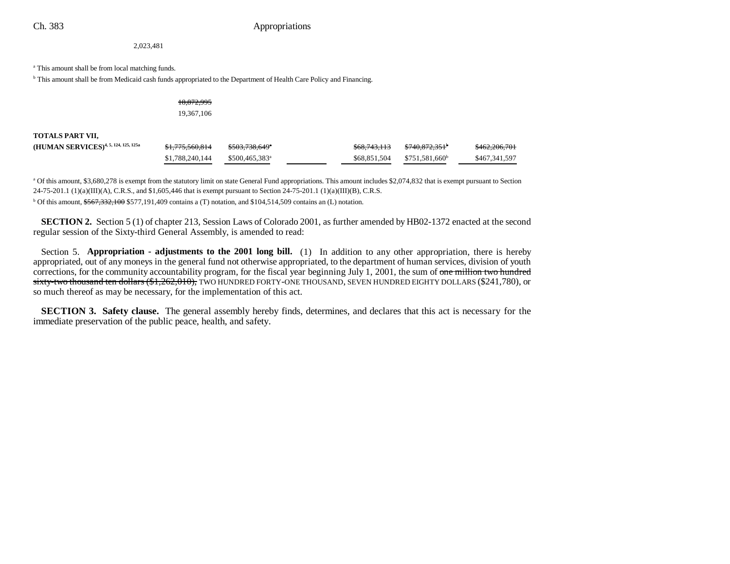2,023,481

#### <sup>a</sup> This amount shall be from local matching funds.

<sup>b</sup> This amount shall be from Medicaid cash funds appropriated to the Department of Health Care Policy and Financing.

| 18,872,995 |
|------------|
| 19,367,106 |

**TOTALS PART VII,** 

| (HUMAN SERVICES) <sup>4, 5, 124, 125, 125a</sup> | <del>\$1,775,560,814</del> | <del>\$503,738,649</del> *  | \$68,743,113 | <del>\$740.872.351</del>   | 0.622006701<br>3402,200,701 |
|--------------------------------------------------|----------------------------|-----------------------------|--------------|----------------------------|-----------------------------|
|                                                  | \$1,788,240,144            | $$500.465.383$ <sup>a</sup> | \$68,851,504 | \$751.581.660 <sup>b</sup> | \$467,341,597               |

<sup>a</sup> Of this amount, \$3,680,278 is exempt from the statutory limit on state General Fund appropriations. This amount includes \$2,074,832 that is exempt pursuant to Section  $24-75-201.1$  (1)(a)(III)(A), C.R.S., and \$1,605,446 that is exempt pursuant to Section 24-75-201.1 (1)(a)(III)(B), C.R.S.

b Of this amount, \$567,332,100 \$577,191,409 contains a (T) notation, and \$104,514,509 contains an (L) notation.

**SECTION 2.** Section 5 (1) of chapter 213, Session Laws of Colorado 2001, as further amended by HB02-1372 enacted at the second regular session of the Sixty-third General Assembly, is amended to read:

Section 5. **Appropriation - adjustments to the 2001 long bill.** (1) In addition to any other appropriation, there is hereby appropriated, out of any moneys in the general fund not otherwise appropriated, to the department of human services, division of youth corrections, for the community accountability program, for the fiscal year beginning July 1, 2001, the sum of one million two hundred sixty-two thousand ten dollars (\$1,262,010), TWO HUNDRED FORTY-ONE THOUSAND, SEVEN HUNDRED EIGHTY DOLLARS (\$241,780), or so much thereof as may be necessary, for the implementation of this act.

**SECTION 3. Safety clause.** The general assembly hereby finds, determines, and declares that this act is necessary for the immediate preservation of the public peace, health, and safety.